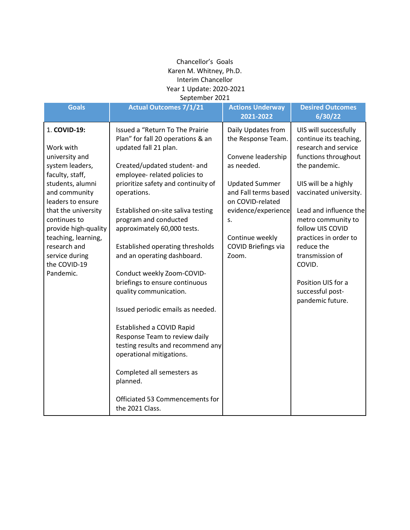## Chancellor's Goals Karen M. Whitney, Ph.D. Interim Chancellor Year 1 Update: 2020-2021 September 2021

| <b>Goals</b>                                                                                                                                                                                                                                                                                     | <b>Actual Outcomes 7/1/21</b>                                                                                                                                                                                                                                                                                                                                                                                                                                                                                                                                                                                                                                                                                                           | <b>Actions Underway</b><br>2021-2022                                                                                                                                                                                              | <b>Desired Outcomes</b><br>6/30/22                                                                                                                                                                                                                                                                                                                                       |
|--------------------------------------------------------------------------------------------------------------------------------------------------------------------------------------------------------------------------------------------------------------------------------------------------|-----------------------------------------------------------------------------------------------------------------------------------------------------------------------------------------------------------------------------------------------------------------------------------------------------------------------------------------------------------------------------------------------------------------------------------------------------------------------------------------------------------------------------------------------------------------------------------------------------------------------------------------------------------------------------------------------------------------------------------------|-----------------------------------------------------------------------------------------------------------------------------------------------------------------------------------------------------------------------------------|--------------------------------------------------------------------------------------------------------------------------------------------------------------------------------------------------------------------------------------------------------------------------------------------------------------------------------------------------------------------------|
| 1. COVID-19:<br>Work with<br>university and<br>system leaders,<br>faculty, staff,<br>students, alumni<br>and community<br>leaders to ensure<br>that the university<br>continues to<br>provide high-quality<br>teaching, learning,<br>research and<br>service during<br>the COVID-19<br>Pandemic. | Issued a "Return To The Prairie<br>Plan" for fall 20 operations & an<br>updated fall 21 plan.<br>Created/updated student- and<br>employee- related policies to<br>prioritize safety and continuity of<br>operations.<br>Established on-site saliva testing<br>program and conducted<br>approximately 60,000 tests.<br><b>Established operating thresholds</b><br>and an operating dashboard.<br>Conduct weekly Zoom-COVID-<br>briefings to ensure continuous<br>quality communication.<br>Issued periodic emails as needed.<br>Established a COVID Rapid<br>Response Team to review daily<br>testing results and recommend any<br>operational mitigations.<br>Completed all semesters as<br>planned.<br>Officiated 53 Commencements for | Daily Updates from<br>the Response Team.<br>Convene leadership<br>as needed.<br><b>Updated Summer</b><br>and Fall terms based<br>on COVID-related<br>evidence/experience<br>S.<br>Continue weekly<br>COVID Briefings via<br>Zoom. | UIS will successfully<br>continue its teaching,<br>research and service<br>functions throughout<br>the pandemic.<br>UIS will be a highly<br>vaccinated university.<br>Lead and influence the<br>metro community to<br>follow UIS COVID<br>practices in order to<br>reduce the<br>transmission of<br>COVID.<br>Position UIS for a<br>successful post-<br>pandemic future. |
|                                                                                                                                                                                                                                                                                                  | the 2021 Class.                                                                                                                                                                                                                                                                                                                                                                                                                                                                                                                                                                                                                                                                                                                         |                                                                                                                                                                                                                                   |                                                                                                                                                                                                                                                                                                                                                                          |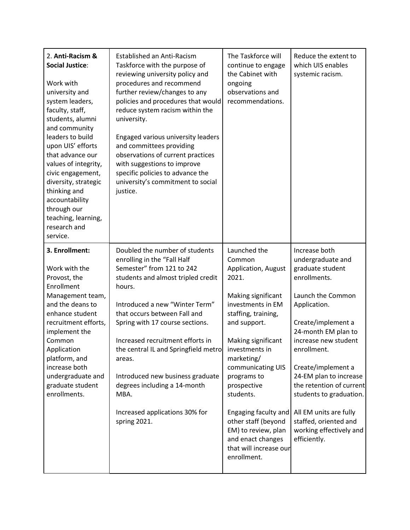| 2. Anti-Racism &<br><b>Social Justice:</b><br>Work with<br>university and<br>system leaders,<br>faculty, staff,<br>students, alumni<br>and community<br>leaders to build<br>upon UIS' efforts<br>that advance our<br>values of integrity,<br>civic engagement,<br>diversity, strategic<br>thinking and<br>accountability<br>through our<br>teaching, learning,<br>research and<br>service. | Established an Anti-Racism<br>Taskforce with the purpose of<br>reviewing university policy and<br>procedures and recommend<br>further review/changes to any<br>policies and procedures that would<br>reduce system racism within the<br>university.<br>Engaged various university leaders<br>and committees providing<br>observations of current practices<br>with suggestions to improve<br>specific policies to advance the<br>university's commitment to social<br>justice. | The Taskforce will<br>continue to engage<br>the Cabinet with<br>ongoing<br>observations and<br>recommendations.                                                                                                                                                                                                                                                                                    | Reduce the extent to<br>which UIS enables<br>systemic racism.                                                                                                                                                                                                                                                                                                                                        |
|--------------------------------------------------------------------------------------------------------------------------------------------------------------------------------------------------------------------------------------------------------------------------------------------------------------------------------------------------------------------------------------------|--------------------------------------------------------------------------------------------------------------------------------------------------------------------------------------------------------------------------------------------------------------------------------------------------------------------------------------------------------------------------------------------------------------------------------------------------------------------------------|----------------------------------------------------------------------------------------------------------------------------------------------------------------------------------------------------------------------------------------------------------------------------------------------------------------------------------------------------------------------------------------------------|------------------------------------------------------------------------------------------------------------------------------------------------------------------------------------------------------------------------------------------------------------------------------------------------------------------------------------------------------------------------------------------------------|
| 3. Enrollment:<br>Work with the<br>Provost, the<br>Enrollment<br>Management team,<br>and the deans to<br>enhance student<br>recruitment efforts,<br>implement the<br>Common<br>Application<br>platform, and<br>increase both<br>undergraduate and<br>graduate student<br>enrollments.                                                                                                      | Doubled the number of students<br>enrolling in the "Fall Half<br>Semester" from 121 to 242<br>students and almost tripled credit<br>hours.<br>Introduced a new "Winter Term"<br>that occurs between Fall and<br>Spring with 17 course sections.<br>Increased recruitment efforts in<br>the central IL and Springfield metro<br>areas.<br>Introduced new business graduate<br>degrees including a 14-month<br>MBA.<br>Increased applications 30% for<br>spring 2021.            | Launched the<br>Common<br>Application, August<br>2021.<br>Making significant<br>investments in EM<br>staffing, training,<br>and support.<br>Making significant<br>investments in<br>marketing/<br>communicating UIS<br>programs to<br>prospective<br>students.<br>Engaging faculty and<br>other staff (beyond<br>EM) to review, plan<br>and enact changes<br>that will increase our<br>enrollment. | Increase both<br>undergraduate and<br>graduate student<br>enrollments.<br>Launch the Common<br>Application.<br>Create/implement a<br>24-month EM plan to<br>increase new student<br>enrollment.<br>Create/implement a<br>24-EM plan to increase<br>the retention of current<br>students to graduation.<br>All EM units are fully<br>staffed, oriented and<br>working effectively and<br>efficiently. |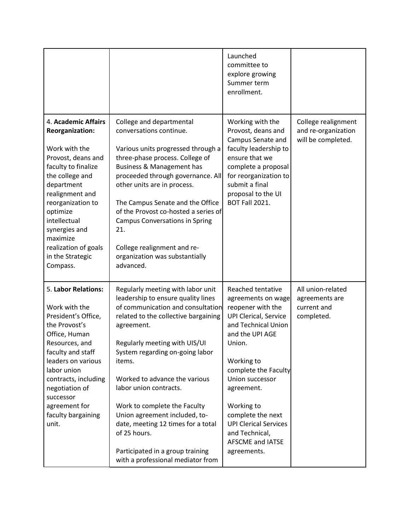|                                                                                                                                                                                                                                                                                                       |                                                                                                                                                                                                                                                                                                                                                                                                                                                                                                             | Launched<br>committee to<br>explore growing<br>Summer term<br>enrollment.                                                                                                                                                                                                                                                                       |                                                                  |
|-------------------------------------------------------------------------------------------------------------------------------------------------------------------------------------------------------------------------------------------------------------------------------------------------------|-------------------------------------------------------------------------------------------------------------------------------------------------------------------------------------------------------------------------------------------------------------------------------------------------------------------------------------------------------------------------------------------------------------------------------------------------------------------------------------------------------------|-------------------------------------------------------------------------------------------------------------------------------------------------------------------------------------------------------------------------------------------------------------------------------------------------------------------------------------------------|------------------------------------------------------------------|
| 4. Academic Affairs<br><b>Reorganization:</b><br>Work with the<br>Provost, deans and<br>faculty to finalize<br>the college and<br>department<br>realignment and<br>reorganization to<br>optimize<br>intellectual<br>synergies and<br>maximize<br>realization of goals<br>in the Strategic<br>Compass. | College and departmental<br>conversations continue.<br>Various units progressed through a<br>three-phase process. College of<br>Business & Management has<br>proceeded through governance. All<br>other units are in process.<br>The Campus Senate and the Office<br>of the Provost co-hosted a series of<br><b>Campus Conversations in Spring</b><br>21.<br>College realignment and re-<br>organization was substantially<br>advanced.                                                                     | Working with the<br>Provost, deans and<br>Campus Senate and<br>faculty leadership to<br>ensure that we<br>complete a proposal<br>for reorganization to<br>submit a final<br>proposal to the UI<br><b>BOT Fall 2021.</b>                                                                                                                         | College realignment<br>and re-organization<br>will be completed. |
| 5. Labor Relations:<br>Work with the<br>President's Office,<br>the Provost's<br>Office, Human<br>Resources, and<br>faculty and staff<br>leaders on various<br>labor union<br>contracts, including<br>negotiation of<br>successor<br>agreement for<br>faculty bargaining<br>unit.                      | Regularly meeting with labor unit<br>leadership to ensure quality lines<br>of communication and consultation<br>related to the collective bargaining<br>agreement.<br>Regularly meeting with UIS/UI<br>System regarding on-going labor<br>items.<br>Worked to advance the various<br>labor union contracts.<br>Work to complete the Faculty<br>Union agreement included, to-<br>date, meeting 12 times for a total<br>of 25 hours.<br>Participated in a group training<br>with a professional mediator from | Reached tentative<br>agreements on wage<br>reopener with the<br><b>UPI Clerical, Service</b><br>and Technical Union<br>and the UPI AGE<br>Union.<br>Working to<br>complete the Faculty<br>Union successor<br>agreement.<br>Working to<br>complete the next<br><b>UPI Clerical Services</b><br>and Technical,<br>AFSCME and IATSE<br>agreements. | All union-related<br>agreements are<br>current and<br>completed. |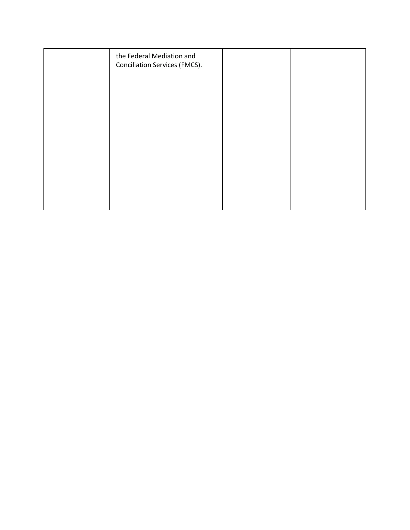| the Federal Mediation and<br>Conciliation Services (FMCS). |  |
|------------------------------------------------------------|--|
|                                                            |  |
|                                                            |  |
|                                                            |  |
|                                                            |  |
|                                                            |  |
|                                                            |  |
|                                                            |  |
|                                                            |  |
|                                                            |  |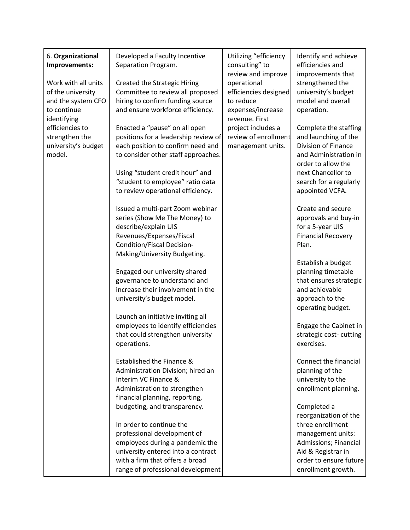| 6. Organizational<br>Improvements:                                                           | Developed a Faculty Incentive<br>Separation Program.                                                                                                                                                                     | Utilizing "efficiency<br>consulting" to                                                                        | Identify and achieve<br>efficiencies and                                                                                                                            |
|----------------------------------------------------------------------------------------------|--------------------------------------------------------------------------------------------------------------------------------------------------------------------------------------------------------------------------|----------------------------------------------------------------------------------------------------------------|---------------------------------------------------------------------------------------------------------------------------------------------------------------------|
| Work with all units<br>of the university<br>and the system CFO<br>to continue<br>identifying | <b>Created the Strategic Hiring</b><br>Committee to review all proposed<br>hiring to confirm funding source<br>and ensure workforce efficiency.                                                                          | review and improve<br>operational<br>efficiencies designed<br>to reduce<br>expenses/increase<br>revenue. First | improvements that<br>strengthened the<br>university's budget<br>model and overall<br>operation.                                                                     |
| efficiencies to<br>strengthen the<br>university's budget<br>model.                           | Enacted a "pause" on all open<br>positions for a leadership review of<br>each position to confirm need and<br>to consider other staff approaches.<br>Using "student credit hour" and<br>"student to employee" ratio data | project includes a<br>review of enrollment<br>management units.                                                | Complete the staffing<br>and launching of the<br>Division of Finance<br>and Administration in<br>order to allow the<br>next Chancellor to<br>search for a regularly |
|                                                                                              | to review operational efficiency.                                                                                                                                                                                        |                                                                                                                | appointed VCFA.                                                                                                                                                     |
|                                                                                              | Issued a multi-part Zoom webinar<br>series (Show Me The Money) to<br>describe/explain UIS<br>Revenues/Expenses/Fiscal<br>Condition/Fiscal Decision-                                                                      |                                                                                                                | Create and secure<br>approvals and buy-in<br>for a 5-year UIS<br><b>Financial Recovery</b><br>Plan.                                                                 |
|                                                                                              | Making/University Budgeting.<br>Engaged our university shared<br>governance to understand and<br>increase their involvement in the<br>university's budget model.                                                         |                                                                                                                | Establish a budget<br>planning timetable<br>that ensures strategic<br>and achievable<br>approach to the                                                             |
|                                                                                              | Launch an initiative inviting all<br>employees to identify efficiencies<br>that could strengthen university<br>operations.                                                                                               |                                                                                                                | operating budget.<br>Engage the Cabinet in<br>strategic cost-cutting<br>exercises.                                                                                  |
|                                                                                              | Established the Finance &<br>Administration Division; hired an<br>Interim VC Finance &<br>Administration to strengthen                                                                                                   |                                                                                                                | Connect the financial<br>planning of the<br>university to the<br>enrollment planning.                                                                               |
|                                                                                              | financial planning, reporting,<br>budgeting, and transparency.                                                                                                                                                           |                                                                                                                | Completed a<br>reorganization of the                                                                                                                                |
|                                                                                              | In order to continue the<br>professional development of<br>employees during a pandemic the<br>university entered into a contract<br>with a firm that offers a broad<br>range of professional development                 |                                                                                                                | three enrollment<br>management units:<br>Admissions; Financial<br>Aid & Registrar in<br>order to ensure future<br>enrollment growth.                                |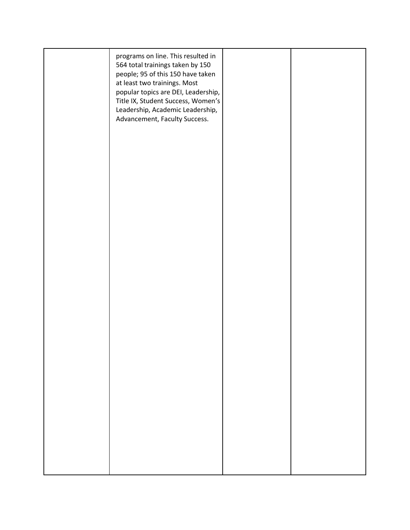| programs on line. This resulted in<br>564 total trainings taken by 150<br>people; 95 of this 150 have taken<br>at least two trainings. Most<br>popular topics are DEI, Leadership,<br>Title IX, Student Success, Women's<br>Leadership, Academic Leadership,<br>Advancement, Faculty Success. |  |
|-----------------------------------------------------------------------------------------------------------------------------------------------------------------------------------------------------------------------------------------------------------------------------------------------|--|
|                                                                                                                                                                                                                                                                                               |  |
|                                                                                                                                                                                                                                                                                               |  |
|                                                                                                                                                                                                                                                                                               |  |
|                                                                                                                                                                                                                                                                                               |  |
|                                                                                                                                                                                                                                                                                               |  |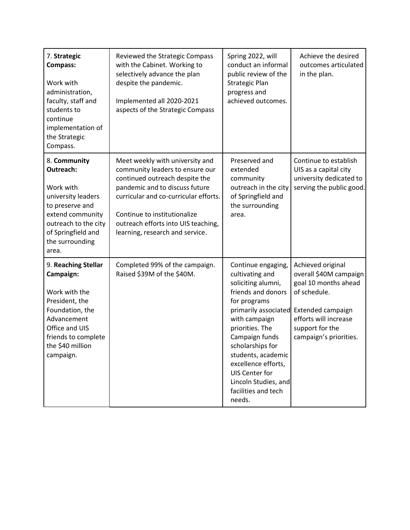| 7. Strategic<br><b>Compass:</b><br>Work with<br>administration,<br>faculty, staff and<br>students to<br>continue<br>implementation of<br>the Strategic<br>Compass.              | Reviewed the Strategic Compass<br>with the Cabinet. Working to<br>selectively advance the plan<br>despite the pandemic.<br>Implemented all 2020-2021<br>aspects of the Strategic Compass                                                                                                  | Spring 2022, will<br>conduct an informal<br>public review of the<br><b>Strategic Plan</b><br>progress and<br>achieved outcomes.                                                                                                                                                                                             | Achieve the desired<br>outcomes articulated<br>in the plan.                                                                                                                    |
|---------------------------------------------------------------------------------------------------------------------------------------------------------------------------------|-------------------------------------------------------------------------------------------------------------------------------------------------------------------------------------------------------------------------------------------------------------------------------------------|-----------------------------------------------------------------------------------------------------------------------------------------------------------------------------------------------------------------------------------------------------------------------------------------------------------------------------|--------------------------------------------------------------------------------------------------------------------------------------------------------------------------------|
| 8. Community<br>Outreach:<br>Work with<br>university leaders<br>to preserve and<br>extend community<br>outreach to the city<br>of Springfield and<br>the surrounding<br>area.   | Meet weekly with university and<br>community leaders to ensure our<br>continued outreach despite the<br>pandemic and to discuss future<br>curricular and co-curricular efforts.<br>Continue to institutionalize<br>outreach efforts into UIS teaching,<br>learning, research and service. | Preserved and<br>extended<br>community<br>outreach in the city<br>of Springfield and<br>the surrounding<br>area.                                                                                                                                                                                                            | Continue to establish<br>UIS as a capital city<br>university dedicated to<br>serving the public good.                                                                          |
| 9. Reaching Stellar<br>Campaign:<br>Work with the<br>President, the<br>Foundation, the<br>Advancement<br>Office and UIS<br>friends to complete<br>the \$40 million<br>campaign. | Completed 99% of the campaign.<br>Raised \$39M of the \$40M.                                                                                                                                                                                                                              | Continue engaging,<br>cultivating and<br>soliciting alumni,<br>friends and donors<br>for programs<br>primarily associated<br>with campaign<br>priorities. The<br>Campaign funds<br>scholarships for<br>students, academic<br>excellence efforts,<br>UIS Center for<br>Lincoln Studies, and<br>facilities and tech<br>needs. | Achieved original<br>overall \$40M campaign<br>goal 10 months ahead<br>of schedule.<br>Extended campaign<br>efforts will increase<br>support for the<br>campaign's priorities. |